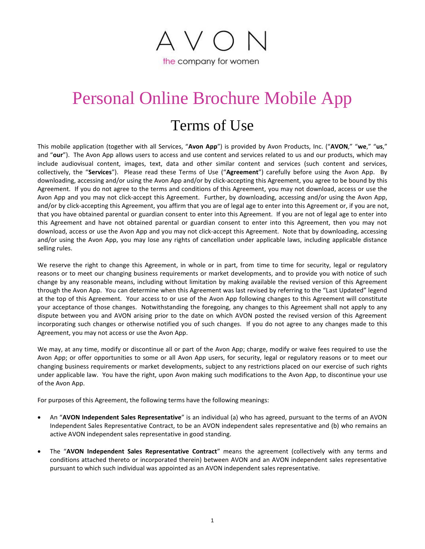

# Personal Online Brochure Mobile App

## Terms of Use

This mobile application (together with all Services, "**Avon App**") is provided by Avon Products, Inc. ("**AVON**," "**we**," "**us**," and "**our**"). The Avon App allows users to access and use content and services related to us and our products, which may include audiovisual content, images, text, data and other similar content and services (such content and services, collectively, the "**Services**"). Please read these Terms of Use ("**Agreement**") carefully before using the Avon App. By downloading, accessing and/or using the Avon App and/or by click-accepting this Agreement, you agree to be bound by this Agreement. If you do not agree to the terms and conditions of this Agreement, you may not download, access or use the Avon App and you may not click-accept this Agreement. Further, by downloading, accessing and/or using the Avon App, and/or by click-accepting this Agreement, you affirm that you are of legal age to enter into this Agreement or, if you are not, that you have obtained parental or guardian consent to enter into this Agreement. If you are not of legal age to enter into this Agreement and have not obtained parental or guardian consent to enter into this Agreement, then you may not download, access or use the Avon App and you may not click-accept this Agreement. Note that by downloading, accessing and/or using the Avon App, you may lose any rights of cancellation under applicable laws, including applicable distance selling rules.

We reserve the right to change this Agreement, in whole or in part, from time to time for security, legal or regulatory reasons or to meet our changing business requirements or market developments, and to provide you with notice of such change by any reasonable means, including without limitation by making available the revised version of this Agreement through the Avon App. You can determine when this Agreement was last revised by referring to the "Last Updated" legend at the top of this Agreement. Your access to or use of the Avon App following changes to this Agreement will constitute your acceptance of those changes. Notwithstanding the foregoing, any changes to this Agreement shall not apply to any dispute between you and AVON arising prior to the date on which AVON posted the revised version of this Agreement incorporating such changes or otherwise notified you of such changes. If you do not agree to any changes made to this Agreement, you may not access or use the Avon App.

We may, at any time, modify or discontinue all or part of the Avon App; charge, modify or waive fees required to use the Avon App; or offer opportunities to some or all Avon App users, for security, legal or regulatory reasons or to meet our changing business requirements or market developments, subject to any restrictions placed on our exercise of such rights under applicable law. You have the right, upon Avon making such modifications to the Avon App, to discontinue your use of the Avon App.

For purposes of this Agreement, the following terms have the following meanings:

- An "**AVON Independent Sales Representative**" is an individual (a) who has agreed, pursuant to the terms of an AVON Independent Sales Representative Contract, to be an AVON independent sales representative and (b) who remains an active AVON independent sales representative in good standing.
- The "**AVON Independent Sales Representative Contract**" means the agreement (collectively with any terms and conditions attached thereto or incorporated therein) between AVON and an AVON independent sales representative pursuant to which such individual was appointed as an AVON independent sales representative.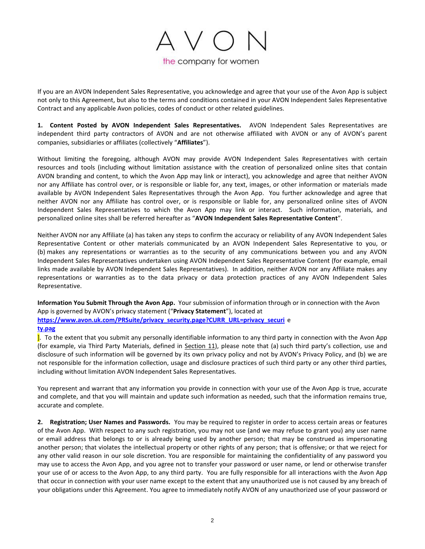

If you are an AVON Independent Sales Representative, you acknowledge and agree that your use of the Avon App is subject not only to this Agreement, but also to the terms and conditions contained in your AVON Independent Sales Representative Contract and any applicable Avon policies, codes of conduct or other related guidelines.

<span id="page-1-0"></span>**1. Content Posted by AVON Independent Sales Representatives.** AVON Independent Sales Representatives are independent third party contractors of AVON and are not otherwise affiliated with AVON or any of AVON's parent companies, subsidiaries or affiliates (collectively "**Affiliates**").

Without limiting the foregoing, although AVON may provide AVON Independent Sales Representatives with certain resources and tools (including without limitation assistance with the creation of personalized online sites that contain AVON branding and content, to which the Avon App may link or interact), you acknowledge and agree that neither AVON nor any Affiliate has control over, or is responsible or liable for, any text, images, or other information or materials made available by AVON Independent Sales Representatives through the Avon App. You further acknowledge and agree that neither AVON nor any Affiliate has control over, or is responsible or liable for, any personalized online sites of AVON Independent Sales Representatives to which the Avon App may link or interact. Such information, materials, and personalized online sites shall be referred hereafter as "**AVON Independent Sales Representative Content**".

Neither AVON nor any Affiliate (a) has taken any steps to confirm the accuracy or reliability of any AVON Independent Sales Representative Content or other materials communicated by an AVON Independent Sales Representative to you, or (b) makes any representations or warranties as to the security of any communications between you and any AVON Independent Sales Representatives undertaken using AVON Independent Sales Representative Content (for example, email links made available by AVON Independent Sales Representatives). In addition, neither AVON nor any Affiliate makes any representations or warranties as to the data privacy or data protection practices of any AVON Independent Sales Representative.

**Information You Submit Through the Avon App.** Your submission of information through or in connection with the Avon App is governed by AVON's privacy statement ("**Privacy Statement**"), located at **https://www.avon.uk.com/PRSuite/privacy\_security.page?CURR\_URL=privacy\_securi** e **ty.pag**

]. To the extent that you submit any personally identifiable information to any third party in connection with the Avon App (for example, via Third Party Materials, defined in Section [11\)](#page-6-0), please note that (a) such third party's collection, use and disclosure of such information will be governed by its own privacy policy and not by AVON's Privacy Policy, and (b) we are not responsible for the information collection, usage and disclosure practices of such third party or any other third parties, including without limitation AVON Independent Sales Representatives.

You represent and warrant that any information you provide in connection with your use of the Avon App is true, accurate and complete, and that you will maintain and update such information as needed, such that the information remains true, accurate and complete.

**2. Registration; User Names and Passwords.** You may be required to register in order to access certain areas or features of the Avon App. With respect to any such registration, you may not use (and we may refuse to grant you) any user name or email address that belongs to or is already being used by another person; that may be construed as impersonating another person; that violates the intellectual property or other rights of any person; that is offensive; or that we reject for any other valid reason in our sole discretion. You are responsible for maintaining the confidentiality of any password you may use to access the Avon App, and you agree not to transfer your password or user name, or lend or otherwise transfer your use of or access to the Avon App, to any third party. You are fully responsible for all interactions with the Avon App that occur in connection with your user name except to the extent that any unauthorized use is not caused by any breach of your obligations under this Agreement. You agree to immediately notify AVON of any unauthorized use of your password or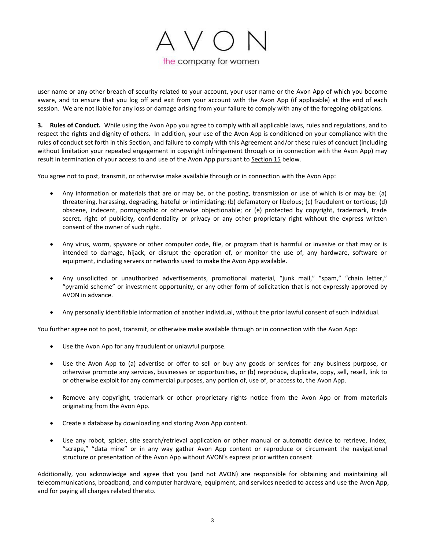

user name or any other breach of security related to your account, your user name or the Avon App of which you become aware, and to ensure that you log off and exit from your account with the Avon App (if applicable) at the end of each session. We are not liable for any loss or damage arising from your failure to comply with any of the foregoing obligations.

<span id="page-2-0"></span>**3. Rules of Conduct.** While using the Avon App you agree to comply with all applicable laws, rules and regulations, and to respect the rights and dignity of others. In addition, your use of the Avon App is conditioned on your compliance with the rules of conduct set forth in this Section, and failure to comply with this Agreement and/or these rules of conduct (including without limitation your repeated engagement in copyright infringement through or in connection with the Avon App) may result in termination of your access to and use of the Avon App pursuant to Sectio[n 15](#page-8-0) below.

You agree not to post, transmit, or otherwise make available through or in connection with the Avon App:

- Any information or materials that are or may be, or the posting, transmission or use of which is or may be: (a) threatening, harassing, degrading, hateful or intimidating; (b) defamatory or libelous; (c) fraudulent or tortious; (d) obscene, indecent, pornographic or otherwise objectionable; or (e) protected by copyright, trademark, trade secret, right of publicity, confidentiality or privacy or any other proprietary right without the express written consent of the owner of such right.
- Any virus, worm, spyware or other computer code, file, or program that is harmful or invasive or that may or is intended to damage, hijack, or disrupt the operation of, or monitor the use of, any hardware, software or equipment, including servers or networks used to make the Avon App available.
- Any unsolicited or unauthorized advertisements, promotional material, "junk mail," "spam," "chain letter," "pyramid scheme" or investment opportunity, or any other form of solicitation that is not expressly approved by AVON in advance.
- Any personally identifiable information of another individual, without the prior lawful consent of such individual.

You further agree not to post, transmit, or otherwise make available through or in connection with the Avon App:

- Use the Avon App for any fraudulent or unlawful purpose.
- Use the Avon App to (a) advertise or offer to sell or buy any goods or services for any business purpose, or otherwise promote any services, businesses or opportunities, or (b) reproduce, duplicate, copy, sell, resell, link to or otherwise exploit for any commercial purposes, any portion of, use of, or access to, the Avon App.
- Remove any copyright, trademark or other proprietary rights notice from the Avon App or from materials originating from the Avon App.
- Create a database by downloading and storing Avon App content.
- Use any robot, spider, site search/retrieval application or other manual or automatic device to retrieve, index, "scrape," "data mine" or in any way gather Avon App content or reproduce or circumvent the navigational structure or presentation of the Avon App without AVON's express prior written consent.

Additionally, you acknowledge and agree that you (and not AVON) are responsible for obtaining and maintaining all telecommunications, broadband, and computer hardware, equipment, and services needed to access and use the Avon App, and for paying all charges related thereto.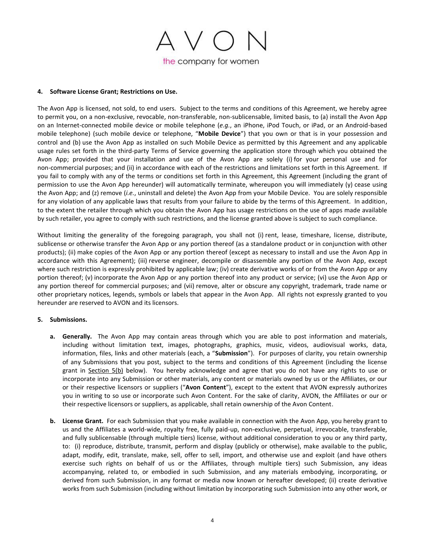

### <span id="page-3-1"></span>**4. Software License Grant; Restrictions on Use.**

The Avon App is licensed, not sold, to end users. Subject to the terms and conditions of this Agreement, we hereby agree to permit you, on a non-exclusive, revocable, non-transferable, non-sublicensable, limited basis, to (a) install the Avon App on an Internet-connected mobile device or mobile telephone (*e.g.*, an iPhone, iPod Touch, or iPad, or an Android-based mobile telephone) (such mobile device or telephone, "**Mobile Device**") that you own or that is in your possession and control and (b) use the Avon App as installed on such Mobile Device as permitted by this Agreement and any applicable usage rules set forth in the third-party Terms of Service governing the application store through which you obtained the Avon App; provided that your installation and use of the Avon App are solely (i) for your personal use and for non-commercial purposes; and (ii) in accordance with each of the restrictions and limitations set forth in this Agreement. If you fail to comply with any of the terms or conditions set forth in this Agreement, this Agreement (including the grant of permission to use the Avon App hereunder) will automatically terminate, whereupon you will immediately (y) cease using the Avon App; and (z) remove (*i.e.*, uninstall and delete) the Avon App from your Mobile Device. You are solely responsible for any violation of any applicable laws that results from your failure to abide by the terms of this Agreement. In addition, to the extent the retailer through which you obtain the Avon App has usage restrictions on the use of apps made available by such retailer, you agree to comply with such restrictions, and the license granted above is subject to such compliance.

Without limiting the generality of the foregoing paragraph, you shall not (i) rent, lease, timeshare, license, distribute, sublicense or otherwise transfer the Avon App or any portion thereof (as a standalone product or in conjunction with other products); (ii) make copies of the Avon App or any portion thereof (except as necessary to install and use the Avon App in accordance with this Agreement); (iii) reverse engineer, decompile or disassemble any portion of the Avon App, except where such restriction is expressly prohibited by applicable law; (iv) create derivative works of or from the Avon App or any portion thereof; (v) incorporate the Avon App or any portion thereof into any product or service; (vi) use the Avon App or any portion thereof for commercial purposes; and (vii) remove, alter or obscure any copyright, trademark, trade name or other proprietary notices, legends, symbols or labels that appear in the Avon App. All rights not expressly granted to you hereunder are reserved to AVON and its licensors.

### <span id="page-3-0"></span>**5. Submissions.**

- **a. Generally.** The Avon App may contain areas through which you are able to post information and materials, including without limitation text, images, photographs, graphics, music, videos, audiovisual works, data, information, files, links and other materials (each, a "**Submission**"). For purposes of clarity, you retain ownership of any Submissions that you post, subject to the terms and conditions of this Agreement (including the license grant in Section [5\(](#page-3-0)b) below). You hereby acknowledge and agree that you do not have any rights to use or incorporate into any Submission or other materials, any content or materials owned by us or the Affiliates, or our or their respective licensors or suppliers ("**Avon Content**"), except to the extent that AVON expressly authorizes you in writing to so use or incorporate such Avon Content. For the sake of clarity, AVON, the Affiliates or our or their respective licensors or suppliers, as applicable, shall retain ownership of the Avon Content.
- **b. License Grant.** For each Submission that you make available in connection with the Avon App, you hereby grant to us and the Affiliates a world-wide, royalty free, fully paid-up, non-exclusive, perpetual, irrevocable, transferable, and fully sublicensable (through multiple tiers) license, without additional consideration to you or any third party, to: (i) reproduce, distribute, transmit, perform and display (publicly or otherwise), make available to the public, adapt, modify, edit, translate, make, sell, offer to sell, import, and otherwise use and exploit (and have others exercise such rights on behalf of us or the Affiliates, through multiple tiers) such Submission, any ideas accompanying, related to, or embodied in such Submission, and any materials embodying, incorporating, or derived from such Submission, in any format or media now known or hereafter developed; (ii) create derivative works from such Submission (including without limitation by incorporating such Submission into any other work, or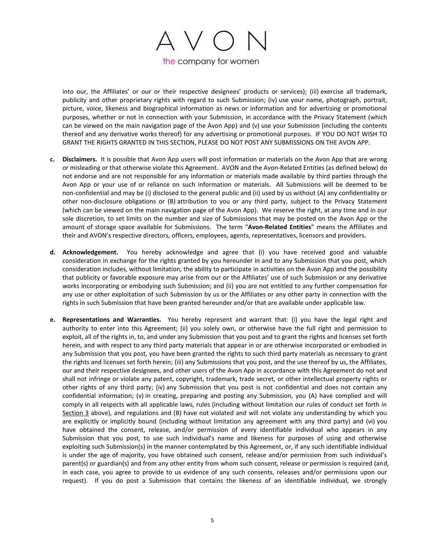

into our, the Affiliates' or our or their respective designees' products or services); (iii) exercise all trademark, publicity and other proprietary rights with regard to such Submission; (iv) use your name, photograph, portrait, picture, voice, likeness and biographical information as news or information and for advertising or promotional purposes, whether or not in connection with your Submission, in accordance with the Privacy Statement (which can be viewed on the main navigation page of the Avon App) and (v) use your Submission (including the contents thereof and any derivative works thereof) for any advertising or promotional purposes. IF YOU DO NOT WISH TO GRANT THE RIGHTS GRANTED IN THIS SECTION, PLEASE DO NOT POST ANY SUBMISSIONS ON THE AVON APP.

- **c. Disclaimers.** It is possible that Avon App users will post information or materials on the Avon App that are wrong or misleading or that otherwise violate this Agreement. AVON and the Avon-Related Entities (as defined below) do not endorse and are not responsible for any information or materials made available by third parties through the Avon App or your use of or reliance on such information or materials. All Submissions will be deemed to be non-confidential and may be (i) disclosed to the general public and (ii) used by us without (A) any confidentiality or other non-disclosure obligations or (B) attribution to you or any third party, subject to the Privacy Statement (which can be viewed on the main navigation page of the Avon App). We reserve the right, at any time and in our sole discretion, to set limits on the number and size of Submissions that may be posted on the Avon App or the amount of storage space available for Submissions. The term "**Avon-Related Entities**" means the Affiliates and their and AVON's respective directors, officers, employees, agents, representatives, licensors and providers.
- **d. Acknowledgement.** You hereby acknowledge and agree that (i) you have received good and valuable consideration in exchange for the rights granted by you hereunder in and to any Submission that you post, which consideration includes, without limitation, the ability to participate in activities on the Avon App and the possibility that publicity or favorable exposure may arise from our or the Affiliates' use of such Submission or any derivative works incorporating or embodying such Submission; and (ii) you are not entitled to any further compensation for any use or other exploitation of such Submission by us or the Affiliates or any other party in connection with the rights in such Submission that have been granted hereunder and/or that are available under applicable law.
- **e. Representations and Warranties.** You hereby represent and warrant that: (i) you have the legal right and authority to enter into this Agreement; (ii) you solely own, or otherwise have the full right and permission to exploit, all of the rights in, to, and under any Submission that you post and to grant the rights and licenses set forth herein, and with respect to any third party materials that appear in or are otherwise incorporated or embodied in any Submission that you post, you have been granted the rights to such third party materials as necessary to grant the rights and licenses set forth herein; (iii) any Submissions that you post, and the use thereof by us, the Affiliates, our and their respective designees, and other users of the Avon App in accordance with this Agreement do not and shall not infringe or violate any patent, copyright, trademark, trade secret, or other intellectual property rights or other rights of any third party; (iv) any Submission that you post is not confidential and does not contain any confidential information; (v) in creating, preparing and posting any Submission, you (A) have complied and will comply in all respects with all applicable laws, rules (including without limitation our rules of conduct set forth in Section [3](#page-2-0) above), and regulations and (B) have not violated and will not violate any understanding by which you are explicitly or implicitly bound (including without limitation any agreement with any third party) and (vi) you have obtained the consent, release, and/or permission of every identifiable individual who appears in any Submission that you post, to use such individual's name and likeness for purposes of using and otherwise exploiting such Submission(s) in the manner contemplated by this Agreement, or, if any such identifiable individual is under the age of majority, you have obtained such consent, release and/or permission from such individual's parent(s) or guardian(s) and from any other entity from whom such consent, release or permission is required (and, in each case, you agree to provide to us evidence of any such consents, releases and/or permissions upon our request). If you do post a Submission that contains the likeness of an identifiable individual, we strongly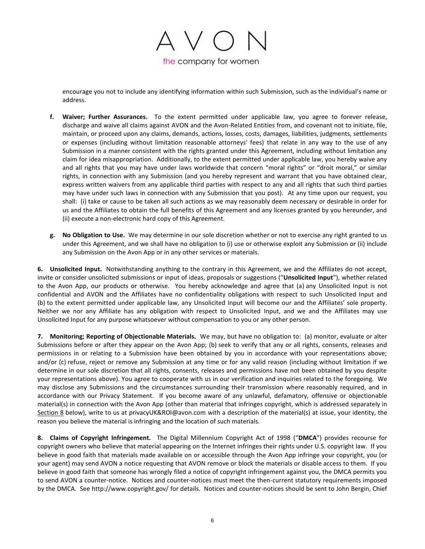

encourage you not to include any identifying information within such Submission, such as the individual's name or address.

- **f. Waiver; Further Assurances.** To the extent permitted under applicable law, you agree to forever release, discharge and waive all claims against AVON and the Avon-Related Entities from, and covenant not to initiate, file, maintain, or proceed upon any claims, demands, actions, losses, costs, damages, liabilities, judgments, settlements or expenses (including without limitation reasonable attorneys' fees) that relate in any way to the use of any Submission in a manner consistent with the rights granted under this Agreement, including without limitation any claim for idea misappropriation. Additionally, to the extent permitted under applicable law, you hereby waive any and all rights that you may have under laws worldwide that concern "moral rights" or "droit moral," or similar rights, in connection with any Submission (and you hereby represent and warrant that you have obtained clear, express written waivers from any applicable third parties with respect to any and all rights that such third parties may have under such laws in connection with any Submission that you post). At any time upon our request, you shall: (i) take or cause to be taken all such actions as we may reasonably deem necessary or desirable in order for us and the Affiliates to obtain the full benefits of this Agreement and any licenses granted by you hereunder, and (ii) execute a non-electronic hard copy of this Agreement.
- **g. No Obligation to Use.** We may determine in our sole discretion whether or not to exercise any right granted to us under this Agreement, and we shall have no obligation to (i) use or otherwise exploit any Submission or (ii) include any Submission on the Avon App or in any other services or materials.

**6. Unsolicited Input.** Notwithstanding anything to the contrary in this Agreement, we and the Affiliates do not accept, invite or consider unsolicited submissions or input of ideas, proposals or suggestions ("**Unsolicited Input**"), whether related to the Avon App, our products or otherwise. You hereby acknowledge and agree that (a) any Unsolicited Input is not confidential and AVON and the Affiliates have no confidentiality obligations with respect to such Unsolicited Input and (b) to the extent permitted under applicable law, any Unsolicited Input will become our and the Affiliates' sole property. Neither we nor any Affiliate has any obligation with respect to Unsolicited Input, and we and the Affiliates may use Unsolicited Input for any purpose whatsoever without compensation to you or any other person.

**7. Monitoring; Reporting of Objectionable Materials.** We may, but have no obligation to: (a) monitor, evaluate or alter Submissions before or after they appear on the Avon App; (b) seek to verify that any or all rights, consents, releases and permissions in or relating to a Submission have been obtained by you in accordance with your representations above; and/or (c) refuse, reject or remove any Submission at any time or for any valid reason (including without limitation if we determine in our sole discretion that all rights, consents, releases and permissions have not been obtained by you despite your representations above). You agree to cooperate with us in our verification and inquiries related to the foregoing. We may disclose any Submissions and the circumstances surrounding their transmission where reasonably required, and in accordance with our Privacy Statement. If you become aware of any unlawful, defamatory, offensive or objectionable material(s) in connection with the Avon App (other than material that infringes copyright, which is addressed separately in Section [8](#page-5-0) below), write to us at privacyUK&ROI@avon.com with a description of the material(s) at issue, your identity, the reason you believe the material is infringing and the location of such materials.

<span id="page-5-0"></span>**8. Claims of Copyright Infringement.** The Digital Millennium Copyright Act of 1998 ("**DMCA**") provides recourse for copyright owners who believe that material appearing on the Internet infringes their rights under U.S. copyright law. If you believe in good faith that materials made available on or accessible through the Avon App infringe your copyright, you (or your agent) may send AVON a notice requesting that AVON remove or block the materials or disable access to them. If you believe in good faith that someone has wrongly filed a notice of copyright infringement against you, the DMCA permits you to send AVON a counter-notice. Notices and counter-notices must meet the then-current statutory requirements imposed by the DMCA. See http://www.copyright.gov/ for details. Notices and counter-notices should be sent to John Bergin, Chief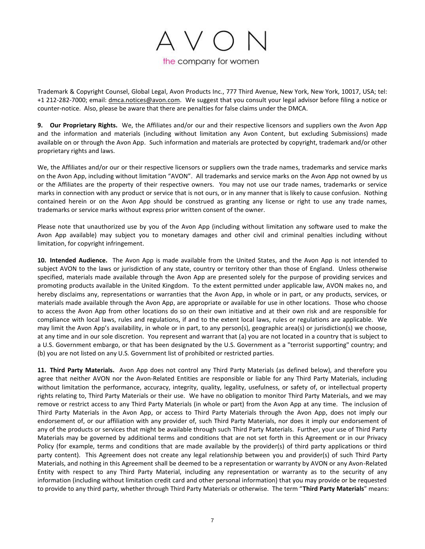

Trademark & Copyright Counsel, Global Legal, Avon Products Inc., 777 Third Avenue, New York, New York, 10017, USA; tel: +1 212-282-7000; email: dmca.notices@avon.com.We suggest that you consult your legal advisor before filing a notice or counter-notice. Also, please be aware that there are penalties for false claims under the DMCA.

**9. Our Proprietary Rights.** We, the Affiliates and/or our and their respective licensors and suppliers own the Avon App and the information and materials (including without limitation any Avon Content, but excluding Submissions) made available on or through the Avon App. Such information and materials are protected by copyright, trademark and/or other proprietary rights and laws.

We, the Affiliates and/or our or their respective licensors or suppliers own the trade names, trademarks and service marks on the Avon App, including without limitation "AVON". All trademarks and service marks on the Avon App not owned by us or the Affiliates are the property of their respective owners. You may not use our trade names, trademarks or service marks in connection with any product or service that is not ours, or in any manner that is likely to cause confusion. Nothing contained herein or on the Avon App should be construed as granting any license or right to use any trade names, trademarks or service marks without express prior written consent of the owner.

Please note that unauthorized use by you of the Avon App (including without limitation any software used to make the Avon App available) may subject you to monetary damages and other civil and criminal penalties including without limitation, for copyright infringement.

**10. Intended Audience.** The Avon App is made available from the United States, and the Avon App is not intended to subject AVON to the laws or jurisdiction of any state, country or territory other than those of England. Unless otherwise specified, materials made available through the Avon App are presented solely for the purpose of providing services and promoting products available in the United Kingdom. To the extent permitted under applicable law, AVON makes no, and hereby disclaims any, representations or warranties that the Avon App, in whole or in part, or any products, services, or materials made available through the Avon App, are appropriate or available for use in other locations. Those who choose to access the Avon App from other locations do so on their own initiative and at their own risk and are responsible for compliance with local laws, rules and regulations, if and to the extent local laws, rules or regulations are applicable. We may limit the Avon App's availability, in whole or in part, to any person(s), geographic area(s) or jurisdiction(s) we choose, at any time and in our sole discretion. You represent and warrant that (a) you are not located in a country that is subject to a U.S. Government embargo, or that has been designated by the U.S. Government as a "terrorist supporting" country; and (b) you are not listed on any U.S. Government list of prohibited or restricted parties.

<span id="page-6-0"></span>**11. Third Party Materials.** Avon App does not control any Third Party Materials (as defined below), and therefore you agree that neither AVON nor the Avon-Related Entities are responsible or liable for any Third Party Materials, including without limitation the performance, accuracy, integrity, quality, legality, usefulness, or safety of, or intellectual property rights relating to, Third Party Materials or their use. We have no obligation to monitor Third Party Materials, and we may remove or restrict access to any Third Party Materials (in whole or part) from the Avon App at any time. The inclusion of Third Party Materials in the Avon App, or access to Third Party Materials through the Avon App, does not imply our endorsement of, or our affiliation with any provider of, such Third Party Materials, nor does it imply our endorsement of any of the products or services that might be available through such Third Party Materials. Further, your use of Third Party Materials may be governed by additional terms and conditions that are not set forth in this Agreement or in our Privacy Policy (for example, terms and conditions that are made available by the provider(s) of third party applications or third party content). This Agreement does not create any legal relationship between you and provider(s) of such Third Party Materials, and nothing in this Agreement shall be deemed to be a representation or warranty by AVON or any Avon-Related Entity with respect to any Third Party Material, including any representation or warranty as to the security of any information (including without limitation credit card and other personal information) that you may provide or be requested to provide to any third party, whether through Third Party Materials or otherwise. The term "**Third Party Materials**" means: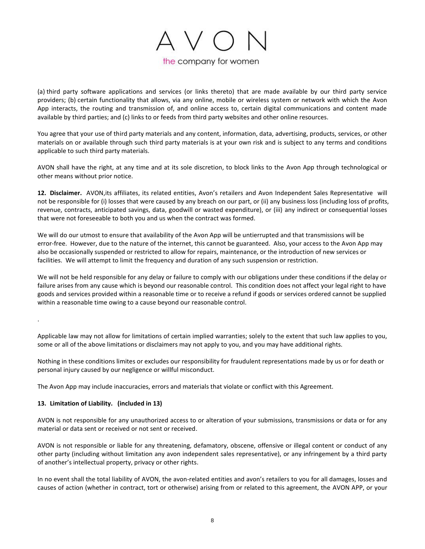

(a) third party software applications and services (or links thereto) that are made available by our third party service providers; (b) certain functionality that allows, via any online, mobile or wireless system or network with which the Avon App interacts, the routing and transmission of, and online access to, certain digital communications and content made available by third parties; and (c) links to or feeds from third party websites and other online resources.

You agree that your use of third party materials and any content, information, data, advertising, products, services, or other materials on or available through such third party materials is at your own risk and is subject to any terms and conditions applicable to such third party materials.

AVON shall have the right, at any time and at its sole discretion, to block links to the Avon App through technological or other means without prior notice.

**12. Disclaimer.** AVON,its affiliates, its related entities, Avon's retailers and Avon Independent Sales Representative will not be responsible for (i) losses that were caused by any breach on our part, or (ii) any business loss (including loss of profits, revenue, contracts, anticipated savings, data, goodwill or wasted expenditure), or (iii) any indirect or consequential losses that were not foreseeable to both you and us when the contract was formed.

We will do our utmost to ensure that availability of the Avon App will be untierrupted and that transmissions will be error-free. However, due to the nature of the internet, this cannot be guaranteed. Also, your access to the Avon App may also be occasionally suspended or restricted to allow for repairs, maintenance, or the introduction of new services or facilities. We will attempt to limit the frequency and duration of any such suspension or restriction.

We will not be held responsible for any delay or failure to comply with our obligations under these conditions if the delay or failure arises from any cause which is beyond our reasonable control. This condition does not affect your legal right to have goods and services provided within a reasonable time or to receive a refund if goods or services ordered cannot be supplied within a reasonable time owing to a cause beyond our reasonable control.

Applicable law may not allow for limitations of certain implied warranties; solely to the extent that such law applies to you, some or all of the above limitations or disclaimers may not apply to you, and you may have additional rights.

Nothing in these conditions limites or excludes our responsibility for fraudulent representations made by us or for death or personal injury caused by our negligence or willful misconduct.

The Avon App may include inaccuracies, errors and materials that violate or conflict with this Agreement.

### **13. Limitation of Liability. (included in 13)**

.

AVON is not responsible for any unauthorized access to or alteration of your submissions, transmissions or data or for any material or data sent or received or not sent or received.

AVON is not responsible or liable for any threatening, defamatory, obscene, offensive or illegal content or conduct of any other party (including without limitation any avon independent sales representative), or any infringement by a third party of another's intellectual property, privacy or other rights.

In no event shall the total liability of AVON, the avon-related entities and avon's retailers to you for all damages, losses and causes of action (whether in contract, tort or otherwise) arising from or related to this agreement, the AVON APP, or your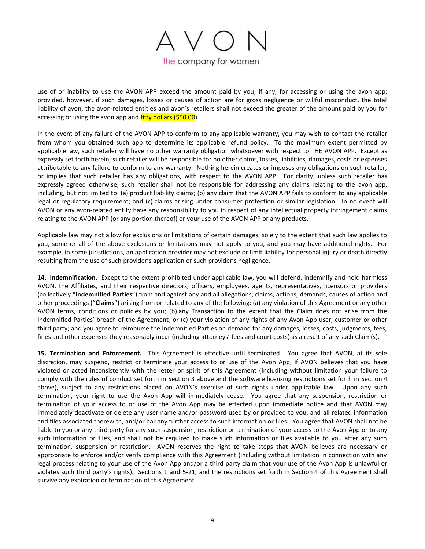

use of or inability to use the AVON APP exceed the amount paid by you, if any, for accessing or using the avon app; provided, however, if such damages, losses or causes of action are for gross negligence or willful misconduct, the total liability of avon, the avon-related entities and avon's retailers shall not exceed the greater of the amount paid by you for accessing or using the avon app and fifty dollars (\$50.00).

In the event of any failure of the AVON APP to conform to any applicable warranty, you may wish to contact the retailer from whom you obtained such app to determine its applicable refund policy. To the maximum extent permitted by applicable law, such retailer will have no other warranty obligation whatsoever with respect to THE AVON APP. Except as expressly set forth herein, such retailer will be responsible for no other claims, losses, liabilities, damages, costs or expenses attributable to any failure to conform to any warranty. Nothing herein creates or imposes any obligations on such retailer, or implies that such retailer has any obligations, with respect to the AVON APP. For clarity, unless such retailer has expressly agreed otherwise, such retailer shall not be responsible for addressing any claims relating to the avon app, including, but not limited to: (a) product liability claims; (b) any claim that the AVON APP fails to conform to any applicable legal or regulatory requirement; and (c) claims arising under consumer protection or similar legislation. In no event will AVON or any avon-related entity have any responsibility to you in respect of any intellectual property infringement claims relating to the AVON APP (or any portion thereof) or your use of the AVON APP or any products.

Applicable law may not allow for exclusions or limitations of certain damages; solely to the extent that such law applies to you, some or all of the above exclusions or limitations may not apply to you, and you may have additional rights. For example, in some jurisdictions, an application provider may not exclude or limit liability for personal injury or death directly resulting from the use of such provider's application or such provider's negligence.

**14. Indemnification**. Except to the extent prohibited under applicable law, you will defend, indemnify and hold harmless AVON, the Affiliates, and their respective directors, officers, employees, agents, representatives, licensors or providers (collectively "**Indemnified Parties**") from and against any and all allegations, claims, actions, demands, causes of action and other proceedings ("**Claims**") arising from or related to any of the following: (a) any violation of this Agreement or any other AVON terms, conditions or policies by you; (b) any Transaction to the extent that the Claim does not arise from the Indemnified Parties' breach of the Agreement; or (c) your violation of any rights of any Avon App user, customer or other third party; and you agree to reimburse the Indemnified Parties on demand for any damages, losses, costs, judgments, fees, fines and other expenses they reasonably incur (including attorneys' fees and court costs) as a result of any such Claim(s).

<span id="page-8-0"></span>**15. Termination and Enforcement.** This Agreement is effective until terminated. You agree that AVON, at its sole discretion, may suspend, restrict or terminate your access to or use of the Avon App, if AVON believes that you have violated or acted inconsistently with the letter or spirit of this Agreement (including without limitation your failure to comply with the rules of conduct set forth in Section [3](#page-2-0) above and the software licensing restrictions set forth in Section [4](#page-3-1) above), subject to any restrictions placed on AVON's exercise of such rights under applicable law. Upon any such termination, your right to use the Avon App will immediately cease. You agree that any suspension, restriction or termination of your access to or use of the Avon App may be effected upon immediate notice and that AVON may immediately deactivate or delete any user name and/or password used by or provided to you, and all related information and files associated therewith, and/or bar any further access to such information or files. You agree that AVON shall not be liable to you or any third party for any such suspension, restriction or termination of your access to the Avon App or to any such information or files, and shall not be required to make such information or files available to you after any such termination, suspension or restriction. AVON reserves the right to take steps that AVON believes are necessary or appropriate to enforce and/or verify compliance with this Agreement (including without limitation in connection with any legal process relating to your use of the Avon App and/or a third party claim that your use of the Avon App is unlawful or violates such third party's rights). Sections [1](#page-1-0) and [5](#page-3-0)[-21,](#page-10-0) and the restrictions set forth in Section [4](#page-3-1) of this Agreement shall survive any expiration or termination of this Agreement.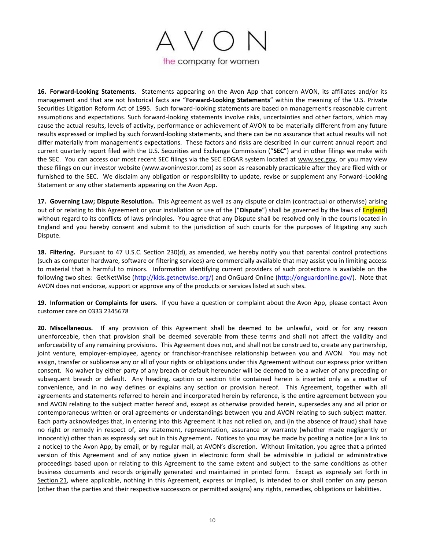

**16. Forward-Looking Statements**. Statements appearing on the Avon App that concern AVON, its affiliates and/or its management and that are not historical facts are "**Forward-Looking Statements**" within the meaning of the U.S. Private Securities Litigation Reform Act of 1995. Such forward-looking statements are based on management's reasonable current assumptions and expectations. Such forward-looking statements involve risks, uncertainties and other factors, which may cause the actual results, levels of activity, performance or achievement of AVON to be materially different from any future results expressed or implied by such forward-looking statements, and there can be no assurance that actual results will not differ materially from management's expectations. These factors and risks are described in our current annual report and current quarterly report filed with the U.S. Securities and Exchange Commission ("**SEC**") and in other filings we make with the SEC. You can access our most recent SEC filings via the SEC EDGAR system located at www.sec.gov, or you may view these filings on our investor website [\(www.avoninvestor.com\)](http://www.avoninvestor.com/) as soon as reasonably practicable after they are filed with or furnished to the SEC. We disclaim any obligation or responsibility to update, revise or supplement any Forward-Looking Statement or any other statements appearing on the Avon App.

**17. Governing Law; Dispute Resolution.** This Agreement as well as any dispute or claim (contractual or otherwise) arising out of or relating to this Agreement or your installation or use of the ("**Dispute**") shall be governed by the laws of England] without regard to its conflicts of laws principles. You agree that any Dispute shall be resolved only in the courts located in England and you hereby consent and submit to the jurisdiction of such courts for the purposes of litigating any such Dispute.

**18. Filtering.** Pursuant to 47 U.S.C. Section 230(d), as amended, we hereby notify you that parental control protections (such as computer hardware, software or filtering services) are commercially available that may assist you in limiting access to material that is harmful to minors. Information identifying current providers of such protections is available on the following two sites: GetNetWise (http://kids.getnetwise.org/) and OnGuard Online (http://onguardonline.gov/). Note that AVON does not endorse, support or approve any of the products or services listed at such sites.

<span id="page-9-0"></span>**19. Information or Complaints for users**. If you have a question or complaint about the Avon App, please contact Avon customer care on 0333 2345678

**20. Miscellaneous.** If any provision of this Agreement shall be deemed to be unlawful, void or for any reason unenforceable, then that provision shall be deemed severable from these terms and shall not affect the validity and enforceability of any remaining provisions. This Agreement does not, and shall not be construed to, create any partnership, joint venture, employer-employee, agency or franchisor-franchisee relationship between you and AVON. You may not assign, transfer or sublicense any or all of your rights or obligations under this Agreement without our express prior written consent. No waiver by either party of any breach or default hereunder will be deemed to be a waiver of any preceding or subsequent breach or default. Any heading, caption or section title contained herein is inserted only as a matter of convenience, and in no way defines or explains any section or provision hereof. This Agreement, together with all agreements and statements referred to herein and incorporated herein by reference, is the entire agreement between you and AVON relating to the subject matter hereof and, except as otherwise provided herein, supersedes any and all prior or contemporaneous written or oral agreements or understandings between you and AVON relating to such subject matter. Each party acknowledges that, in entering into this Agreement it has not relied on, and (in the absence of fraud) shall have no right or remedy in respect of, any statement, representation, assurance or warranty (whether made negligently or innocently) other than as expressly set out in this Agreement*.* Notices to you may be made by posting a notice (or a link to a notice) to the Avon App, by email, or by regular mail, at AVON's discretion. Without limitation, you agree that a printed version of this Agreement and of any notice given in electronic form shall be admissible in judicial or administrative proceedings based upon or relating to this Agreement to the same extent and subject to the same conditions as other business documents and records originally generated and maintained in printed form. Except as expressly set forth in Section [21,](#page-10-0) where applicable, nothing in this Agreement, express or implied, is intended to or shall confer on any person (other than the parties and their respective successors or permitted assigns) any rights, remedies, obligations or liabilities.